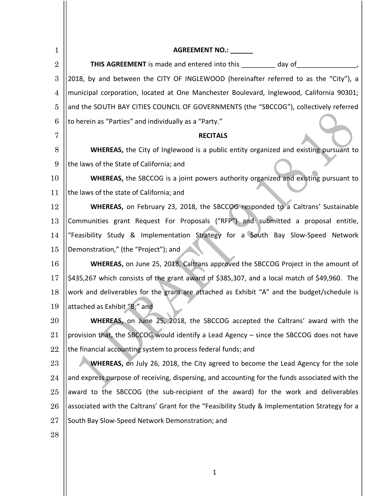| $\mathbf{1}$   | AGREEMENT NO.: _____                                                                           |  |  |
|----------------|------------------------------------------------------------------------------------------------|--|--|
| $\overline{2}$ | <b>THIS AGREEMENT</b> is made and entered into this _________ day of _________________         |  |  |
| 3              | 2018, by and between the CITY OF INGLEWOOD (hereinafter referred to as the "City"), a          |  |  |
| 4              | municipal corporation, located at One Manchester Boulevard, Inglewood, California 90301;       |  |  |
| 5              | and the SOUTH BAY CITIES COUNCIL OF GOVERNMENTS (the "SBCCOG"), collectively referred          |  |  |
| 6              | to herein as "Parties" and individually as a "Party."                                          |  |  |
| 7              | <b>RECITALS</b>                                                                                |  |  |
| 8              | <b>WHEREAS,</b> the City of Inglewood is a public entity organized and existing pursuant to    |  |  |
| 9              | the laws of the State of California; and                                                       |  |  |
| 10             | WHEREAS, the SBCCOG is a joint powers authority organized and existing pursuant to             |  |  |
| 11             | the laws of the state of California; and                                                       |  |  |
| 12             | <b>WHEREAS,</b> on February 23, 2018, the SBCCOG responded to a Caltrans' Sustainable          |  |  |
| 13             | Communities grant Request For Proposals ("RFP") and submitted a proposal entitle,              |  |  |
| 14             | "Feasibility Study & Implementation Strategy for a South Bay Slow-Speed Network                |  |  |
| 15             | Demonstration," (the "Project"); and                                                           |  |  |
| 16             | WHEREAS, on June 25, 2018, Caltrans approved the SBCCOG Project in the amount of               |  |  |
| 17             | \$435,267 which consists of the grant award of \$385,307, and a local match of \$49,960. The   |  |  |
| 18             | work and deliverables for the grant are attached as Exhibit "A" and the budget/schedule is     |  |  |
| 19             | attached as Exhibit "B;" and                                                                   |  |  |
| 20             | WHEREAS, on June 25, 2018, the SBCCOG accepted the Caltrans' award with the                    |  |  |
| 21             | provision that, the SBCCOG would identify a Lead Agency - since the SBCCOG does not have       |  |  |
| 22             | the financial accounting system to process federal funds; and                                  |  |  |
| 23             | <b>WHEREAS, on July 26, 2018, the City agreed to become the Lead Agency for the sole</b>       |  |  |
| 24             | and express purpose of receiving, dispersing, and accounting for the funds associated with the |  |  |
| 25             | award to the SBCCOG (the sub-recipient of the award) for the work and deliverables             |  |  |
| 26             | associated with the Caltrans' Grant for the "Feasibility Study & Implementation Strategy for a |  |  |
| 27             | South Bay Slow-Speed Network Demonstration; and                                                |  |  |
| 28             |                                                                                                |  |  |
|                |                                                                                                |  |  |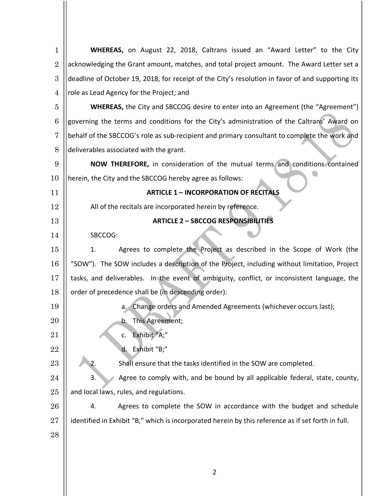| $\mathbf{1}$   | <b>WHEREAS</b> , on August 22, 2018, Caltrans issued an "Award Letter" to the City                 |  |  |  |
|----------------|----------------------------------------------------------------------------------------------------|--|--|--|
| $\overline{2}$ | acknowledging the Grant amount, matches, and total project amount. The Award Letter set a          |  |  |  |
| 3              | deadline of October 19, 2018, for receipt of the City's resolution in favor of and supporting its  |  |  |  |
| 4              | role as Lead Agency for the Project; and                                                           |  |  |  |
| 5              | <b>WHEREAS,</b> the City and SBCCOG desire to enter into an Agreement (the "Agreement")            |  |  |  |
| 6              | governing the terms and conditions for the City's administration of the Caltrans' Award on         |  |  |  |
| 7              | behalf of the SBCCOG's role as sub-recipient and primary consultant to complete the work and       |  |  |  |
| 8              | deliverables associated with the grant.                                                            |  |  |  |
| 9              | NOW THEREFORE, in consideration of the mutual terms and conditions contained                       |  |  |  |
| 10             | herein, the City and the SBCCOG hereby agree as follows:                                           |  |  |  |
| 11             | <b>ARTICLE 1 - INCORPORATION OF RECITALS</b>                                                       |  |  |  |
| 12             | All of the recitals are incorporated herein by reference.                                          |  |  |  |
| 13             | <b>ARTICLE 2 - SBCCOG RESPONSIBILITIES</b>                                                         |  |  |  |
| 14             | SBCCOG:                                                                                            |  |  |  |
| 15             | Agrees to complete the Project as described in the Scope of Work (the<br>1.                        |  |  |  |
| 16             | "SOW"). The SOW includes a description of the Project, including without limitation, Project       |  |  |  |
| 17             | tasks, and deliverables. In the event of ambiguity, conflict, or inconsistent language, the        |  |  |  |
| 18             | order of precedence shall be (in descending order):                                                |  |  |  |
| 19             | Change orders and Amended Agreements (whichever occurs last);<br>а.                                |  |  |  |
| 20             | This Agreement;<br>b.                                                                              |  |  |  |
| 21             | Exhibit "A;"<br>c.                                                                                 |  |  |  |
| 22             | Exhibit "B;"<br>d.                                                                                 |  |  |  |
| 23             | Shall ensure that the tasks identified in the SOW are completed.<br>2.                             |  |  |  |
| 24             | Agree to comply with, and be bound by all applicable federal, state, county,<br>3.                 |  |  |  |
| 25             | and local laws, rules, and regulations.                                                            |  |  |  |
| 26             | Agrees to complete the SOW in accordance with the budget and schedule<br>4.                        |  |  |  |
| 27             | identified in Exhibit "B," which is incorporated herein by this reference as if set forth in full. |  |  |  |
| 28             |                                                                                                    |  |  |  |
|                |                                                                                                    |  |  |  |
|                |                                                                                                    |  |  |  |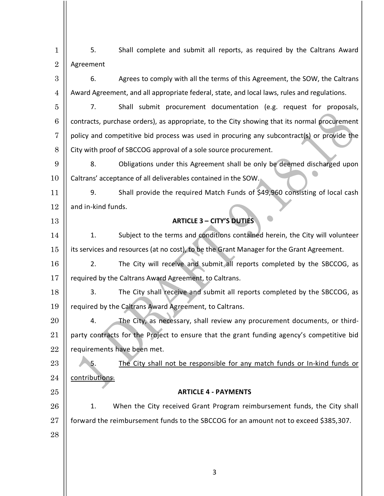| $\mathbf{1}$   | 5.                                                                                           | Shall complete and submit all reports, as required by the Caltrans Award |  |  |
|----------------|----------------------------------------------------------------------------------------------|--------------------------------------------------------------------------|--|--|
| $\overline{2}$ | Agreement                                                                                    |                                                                          |  |  |
| 3              | Agrees to comply with all the terms of this Agreement, the SOW, the Caltrans<br>6.           |                                                                          |  |  |
| $\overline{4}$ | Award Agreement, and all appropriate federal, state, and local laws, rules and regulations.  |                                                                          |  |  |
| 5              | Shall submit procurement documentation (e.g. request for proposals,<br>7.                    |                                                                          |  |  |
| 6              | contracts, purchase orders), as appropriate, to the City showing that its normal procurement |                                                                          |  |  |
| 7              | policy and competitive bid process was used in procuring any subcontract(s) or provide the   |                                                                          |  |  |
| 8              | City with proof of SBCCOG approval of a sole source procurement.                             |                                                                          |  |  |
| 9              | Obligations under this Agreement shall be only be deemed discharged upon<br>8.               |                                                                          |  |  |
| 10             | Caltrans' acceptance of all deliverables contained in the SOW.                               |                                                                          |  |  |
| 11             | Shall provide the required Match Funds of \$49,960 consisting of local cash<br>9.            |                                                                          |  |  |
| 12             | and in-kind funds.                                                                           |                                                                          |  |  |
| 13             | <b>ARTICLE 3 - CITY'S DUTIES</b>                                                             |                                                                          |  |  |
| 14             | Subject to the terms and conditions contained herein, the City will volunteer<br>1.          |                                                                          |  |  |
| 15             | its services and resources (at no cost), to be the Grant Manager for the Grant Agreement.    |                                                                          |  |  |
| 16             | The City will receive and submit all reports completed by the SBCCOG, as<br>2.               |                                                                          |  |  |
| 17             | required by the Caltrans Award Agreement, to Caltrans.                                       |                                                                          |  |  |
| 18             | 3.<br>The City shall receive and submit all reports completed by the SBCCOG, as              |                                                                          |  |  |
| 19             | required by the Caltrans Award Agreement, to Caltrans.                                       |                                                                          |  |  |
| 20             | The City, as necessary, shall review any procurement documents, or third-<br>4.              |                                                                          |  |  |
| 21             | party contracts for the Project to ensure that the grant funding agency's competitive bid    |                                                                          |  |  |
| 22             | requirements have been met.                                                                  |                                                                          |  |  |
| 23             | The City shall not be responsible for any match funds or In-kind funds or<br>5.              |                                                                          |  |  |
| 24             | contributions.                                                                               |                                                                          |  |  |
| 25             | <b>ARTICLE 4 - PAYMENTS</b>                                                                  |                                                                          |  |  |
| 26             | When the City received Grant Program reimbursement funds, the City shall<br>1.               |                                                                          |  |  |
| 27             | forward the reimbursement funds to the SBCCOG for an amount not to exceed \$385,307.         |                                                                          |  |  |
| 28             |                                                                                              |                                                                          |  |  |
|                |                                                                                              |                                                                          |  |  |
|                |                                                                                              |                                                                          |  |  |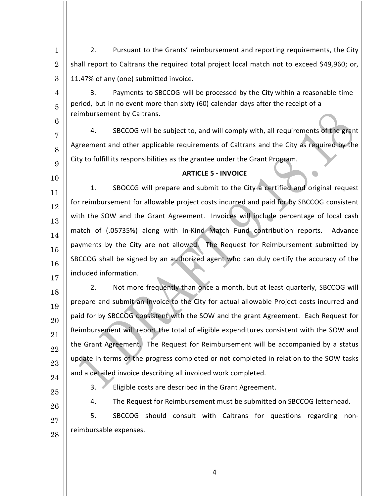1 2 3 2. Pursuant to the Grants' reimbursement and reporting requirements, the City shall report to Caltrans the required total project local match not to exceed \$49,960; or, 11.47% of any (one) submitted invoice.

3. Payments to SBCCOG will be processed by the City within a reasonable time period, but in no event more than sixty (60) calendar days after the receipt of a reimbursement by Caltrans.

6 7

8

9

10

4

5

4. SBCCOG will be subject to, and will comply with, all requirements of the grant Agreement and other applicable requirements of Caltrans and the City as required by the City to fulfill its responsibilities as the grantee under the Grant Program.

## **ARTICLE 5 - INVOICE**

11 12 13 14 15 16 17 1. SBOCCG will prepare and submit to the City a certified and original request for reimbursement for allowable project costs incurred and paid for by SBCCOG consistent with the SOW and the Grant Agreement. Invoices will include percentage of local cash match of (.05735%) along with In-Kind Match Fund contribution reports. Advance payments by the City are not allowed. The Request for Reimbursement submitted by SBCCOG shall be signed by an authorized agent who can duly certify the accuracy of the included information.

2. Not more frequently than once a month, but at least quarterly, SBCCOG will prepare and submit an invoice to the City for actual allowable Project costs incurred and paid for by SBCCOG consistent with the SOW and the grant Agreement. Each Request for Reimbursement will report the total of eligible expenditures consistent with the SOW and the Grant Agreement. The Request for Reimbursement will be accompanied by a status update in terms of the progress completed or not completed in relation to the SOW tasks and a detailed invoice describing all invoiced work completed.

24 25

18

19

20

21

22

23

3. Eligible costs are described in the Grant Agreement.

26

27 28 5. SBCCOG should consult with Caltrans for questions regarding nonreimbursable expenses.

4. The Request for Reimbursement must be submitted on SBCCOG letterhead.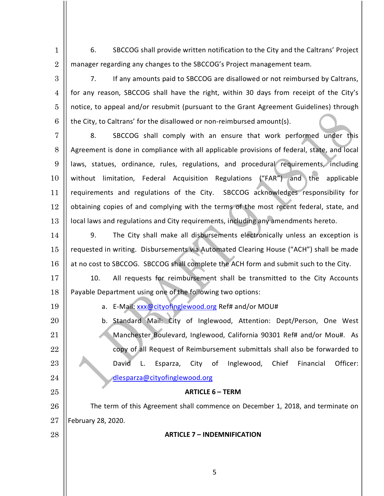6. SBCCOG shall provide written notification to the City and the Caltrans' Project manager regarding any changes to the SBCCOG's Project management team.

3 4 6 7. If any amounts paid to SBCCOG are disallowed or not reimbursed by Caltrans, for any reason, SBCCOG shall have the right, within 30 days from receipt of the City's notice, to appeal and/or resubmit (pursuant to the Grant Agreement Guidelines) through the City, to Caltrans' for the disallowed or non-reimbursed amount(s).

7 8 9 10 11 12 13 8. SBCCOG shall comply with an ensure that work performed under this Agreement is done in compliance with all applicable provisions of federal, state, and local laws, statues, ordinance, rules, regulations, and procedural requirements, including without limitation, Federal Acquisition Regulations ("FAR") and the applicable requirements and regulations of the City. SBCCOG acknowledges responsibility for obtaining copies of and complying with the terms of the most recent federal, state, and local laws and regulations and City requirements, including any amendments hereto.

14 15 16 9. The City shall make all disbursements electronically unless an exception is requested in writing. Disbursements via Automated Clearing House ("ACH") shall be made at no cost to SBCCOG. SBCCOG shall complete the ACH form and submit such to the City.

17 18 10. All requests for reimbursement shall be transmitted to the City Accounts Payable Department using one of the following two options:

19

20

21

22

23

24

25

1

2

5

a. E-Mail: xxx@cityofinglewood.org Ref# and/or MOU#

b. Standard Mail: City of Inglewood, Attention: Dept/Person, One West Manchester Boulevard, Inglewood, California 90301 Ref# and/or Mou#. As copy of all Request of Reimbursement submittals shall also be forwarded to David L. Esparza, City of Inglewood, Chief Financial Officer: dlesparza@cityofinglewood.org

# **ARTICLE 6 – TERM**

26 27 The term of this Agreement shall commence on December 1, 2018, and terminate on February 28, 2020.

28

**ARTICLE 7 – INDEMNIFICATION**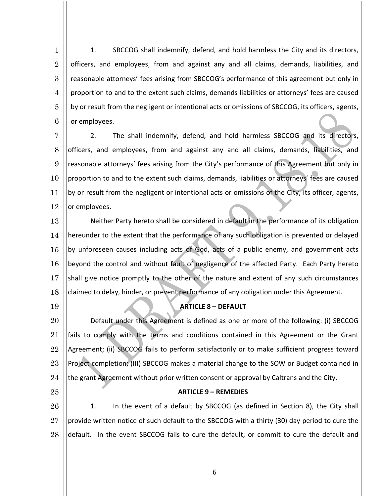1 2 3 4 5 6 1. SBCCOG shall indemnify, defend, and hold harmless the City and its directors, officers, and employees, from and against any and all claims, demands, liabilities, and reasonable attorneys' fees arising from SBCCOG's performance of this agreement but only in proportion to and to the extent such claims, demands liabilities or attorneys' fees are caused by or result from the negligent or intentional acts or omissions of SBCCOG, its officers, agents, or employees.

7 8 9 10 11 12 2. The shall indemnify, defend, and hold harmless SBCCOG and its directors, officers, and employees, from and against any and all claims, demands, liabilities, and reasonable attorneys' fees arising from the City's performance of this Agreement but only in proportion to and to the extent such claims, demands, liabilities or attorneys' fees are caused by or result from the negligent or intentional acts or omissions of the City, its officer, agents, or employees.

13 14 15 16 17 18 Neither Party hereto shall be considered in default in the performance of its obligation hereunder to the extent that the performance of any such obligation is prevented or delayed by unforeseen causes including acts of God, acts of a public enemy, and government acts beyond the control and without fault of negligence of the affected Party. Each Party hereto shall give notice promptly to the other of the nature and extent of any such circumstances claimed to delay, hinder, or prevent performance of any obligation under this Agreement.

### **ARTICLE 8 – DEFAULT**

20 21 22 23 24 Default under this Agreement is defined as one or more of the following: (i) SBCCOG fails to comply with the terms and conditions contained in this Agreement or the Grant Agreement; (ii) SBCCOG fails to perform satisfactorily or to make sufficient progress toward Project completion; (III) SBCCOG makes a material change to the SOW or Budget contained in the grant Agreement without prior written consent or approval by Caltrans and the City.

25

19

#### **ARTICLE 9 – REMEDIES**

26 27 28 1. In the event of a default by SBCCOG (as defined in Section 8), the City shall provide written notice of such default to the SBCCOG with a thirty (30) day period to cure the default. In the event SBCCOG fails to cure the default, or commit to cure the default and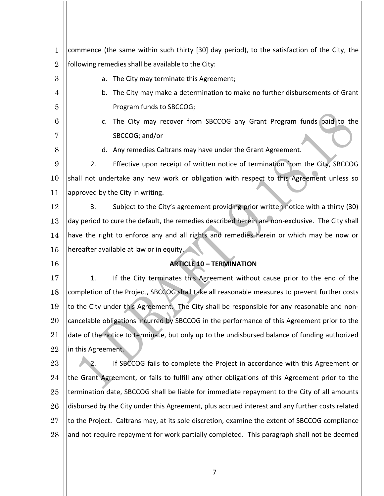| 1              | commence (the same within such thirty [30] day period), to the satisfaction of the City, the    |  |  |  |  |
|----------------|-------------------------------------------------------------------------------------------------|--|--|--|--|
| $\overline{2}$ | following remedies shall be available to the City:                                              |  |  |  |  |
| 3              | The City may terminate this Agreement;<br>a.                                                    |  |  |  |  |
| 4              | b. The City may make a determination to make no further disbursements of Grant                  |  |  |  |  |
| 5              | Program funds to SBCCOG;                                                                        |  |  |  |  |
| 6              | The City may recover from SBCCOG any Grant Program funds paid to the<br>C.                      |  |  |  |  |
| 7              | SBCCOG; and/or                                                                                  |  |  |  |  |
| 8              | d. Any remedies Caltrans may have under the Grant Agreement.                                    |  |  |  |  |
| 9              | Effective upon receipt of written notice of termination from the City, SBCCOG<br>2.             |  |  |  |  |
| 10             | shall not undertake any new work or obligation with respect to this Agreement unless so         |  |  |  |  |
| 11             | approved by the City in writing.                                                                |  |  |  |  |
| 12             | Subject to the City's agreement providing prior written notice with a thirty (30)<br>3.         |  |  |  |  |
| 13             | day period to cure the default, the remedies described herein are non-exclusive. The City shall |  |  |  |  |
| 14             | have the right to enforce any and all rights and remedies herein or which may be now or         |  |  |  |  |
| 15             | hereafter available at law or in equity.                                                        |  |  |  |  |
| 16             | <b>ARTICLE 10 - TERMINATION</b>                                                                 |  |  |  |  |
| 17             | If the City terminates this Agreement without cause prior to the end of the<br>1.               |  |  |  |  |
| 18             | completion of the Project, SBCCOG shall take all reasonable measures to prevent further costs   |  |  |  |  |
| 19             | to the City under this Agreement. The City shall be responsible for any reasonable and non-     |  |  |  |  |
| 20             | cancelable obligations incurred by SBCCOG in the performance of this Agreement prior to the     |  |  |  |  |
| 21             | date of the notice to terminate, but only up to the undisbursed balance of funding authorized   |  |  |  |  |
| 22             | in this Agreement.                                                                              |  |  |  |  |
| 23             | If SBCCOG fails to complete the Project in accordance with this Agreement or<br>2.              |  |  |  |  |
| 24             | the Grant Agreement, or fails to fulfill any other obligations of this Agreement prior to the   |  |  |  |  |
| 25             | termination date, SBCCOG shall be liable for immediate repayment to the City of all amounts     |  |  |  |  |
| 26             | disbursed by the City under this Agreement, plus accrued interest and any further costs related |  |  |  |  |
| 27             | to the Project. Caltrans may, at its sole discretion, examine the extent of SBCCOG compliance   |  |  |  |  |
| 28             | and not require repayment for work partially completed. This paragraph shall not be deemed      |  |  |  |  |
|                |                                                                                                 |  |  |  |  |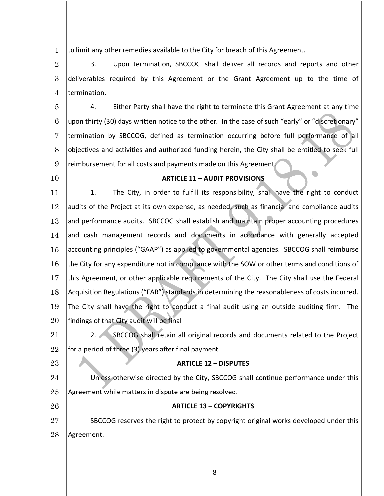1 to limit any other remedies available to the City for breach of this Agreement.

2 3 4 3. Upon termination, SBCCOG shall deliver all records and reports and other deliverables required by this Agreement or the Grant Agreement up to the time of termination.

5 6 7 8 9 4. Either Party shall have the right to terminate this Grant Agreement at any time upon thirty (30) days written notice to the other. In the case of such "early" or "discretionary" termination by SBCCOG, defined as termination occurring before full performance of all objectives and activities and authorized funding herein, the City shall be entitled to seek full reimbursement for all costs and payments made on this Agreement.

10

23

26

## **ARTICLE 11 – AUDIT PROVISIONS**

11 12 13 14 15 16 17 18 19 20 1. The City, in order to fulfill its responsibility, shall have the right to conduct audits of the Project at its own expense, as needed, such as financial and compliance audits and performance audits. SBCCOG shall establish and maintain proper accounting procedures and cash management records and documents in accordance with generally accepted accounting principles ("GAAP") as applied to governmental agencies. SBCCOG shall reimburse the City for any expenditure not in compliance with the SOW or other terms and conditions of this Agreement, or other applicable requirements of the City. The City shall use the Federal Acquisition Regulations ("FAR") standards in determining the reasonableness of costs incurred. The City shall have the right to conduct a final audit using an outside auditing firm. The findings of that City audit will be final

21 22 2. SBCCOG shall retain all original records and documents related to the Project for a period of three (3) years after final payment.

**ARTICLE 12 – DISPUTES**

24 25 Unless otherwise directed by the City, SBCCOG shall continue performance under this Agreement while matters in dispute are being resolved.

## **ARTICLE 13 – COPYRIGHTS**

27 28 SBCCOG reserves the right to protect by copyright original works developed under this Agreement.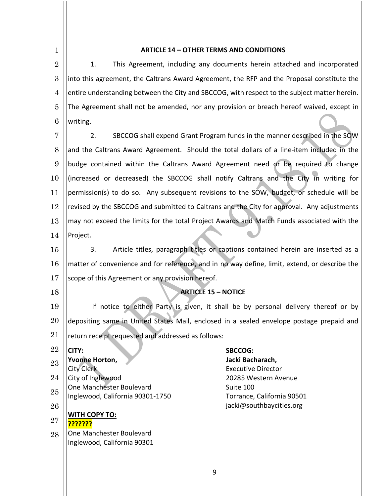1 2 3 4 5 6 7 8 9 10 11 12 13 14 15 16 17 18 19 20 21 22 23 24 25 26 27 28 **ARTICLE 14 – OTHER TERMS AND CONDITIONS** 1. This Agreement, including any documents herein attached and incorporated into this agreement, the Caltrans Award Agreement, the RFP and the Proposal constitute the entire understanding between the City and SBCCOG, with respect to the subject matter herein. The Agreement shall not be amended, nor any provision or breach hereof waived, except in writing. 2. SBCCOG shall expend Grant Program funds in the manner described in the SOW and the Caltrans Award Agreement. Should the total dollars of a line-item included in the budge contained within the Caltrans Award Agreement need or be required to change (increased or decreased) the SBCCOG shall notify Caltrans and the City in writing for permission(s) to do so. Any subsequent revisions to the SOW, budget, or schedule will be revised by the SBCCOG and submitted to Caltrans and the City for approval. Any adjustments may not exceed the limits for the total Project Awards and Match Funds associated with the Project. 3. Article titles, paragraph titles or captions contained herein are inserted as a matter of convenience and for reference, and in no way define, limit, extend, or describe the scope of this Agreement or any provision hereof. **ARTICLE 15 – NOTICE** If notice to either Party is given, it shall be by personal delivery thereof or by depositing same in United States Mail, enclosed in a sealed envelope postage prepaid and return receipt requested and addressed as follows: **CITY: SBCCOG: Yvonne Horton, Jacki Bacharach,** City Clerk **Executive Director** City of Inglewood 20285 Western Avenue One Manchester Boulevard Contract Contract Contract Contract Contract Contract Contract Contract Contract Contract Contract Contract Contract Contract Contract Contract Contract Contract Contract Contract Contract Contract Inglewood, California 90301-1750 Torrance, California 90501 jacki@southbaycities.org **WITH COPY TO: ???????** One Manchester Boulevard Inglewood, California 90301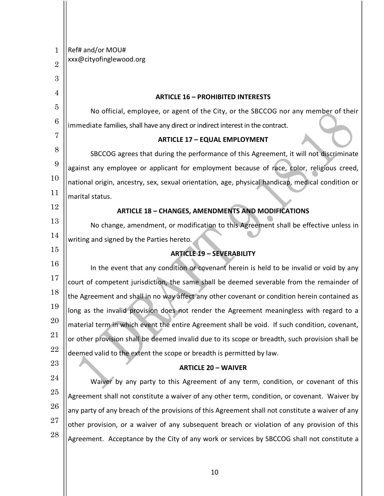| $\mathbf{1}$   | Ref# and/or MOU#                                                                                 |  |  |  |
|----------------|--------------------------------------------------------------------------------------------------|--|--|--|
| $\overline{2}$ | xxx@cityofinglewood.org                                                                          |  |  |  |
| 3              |                                                                                                  |  |  |  |
| 4              | <b>ARTICLE 16 - PROHIBITED INTERESTS</b>                                                         |  |  |  |
| $\overline{5}$ | No official, employee, or agent of the City, or the SBCCOG nor any member of their               |  |  |  |
| 6              | immediate families, shall have any direct or indirect interest in the contract.                  |  |  |  |
| 7              | <b>ARTICLE 17 - EQUAL EMPLOYMENT</b>                                                             |  |  |  |
| 8              | SBCCOG agrees that during the performance of this Agreement, it will not discriminate            |  |  |  |
| 9              | against any employee or applicant for employment because of race, color, religious creed,        |  |  |  |
| 10             | national origin, ancestry, sex, sexual orientation, age, physical handicap, medical condition or |  |  |  |
| 11             | marital status.                                                                                  |  |  |  |
| 12             | <b>ARTICLE 18 - CHANGES, AMENDMENTS AND MODIFICATIONS</b>                                        |  |  |  |
| 13             | No change, amendment, or modification to this Agreement shall be effective unless in             |  |  |  |
| 14             | writing and signed by the Parties hereto.                                                        |  |  |  |
| 15             | <b>ARTICLE 19 - SEVERABILITY</b>                                                                 |  |  |  |
| 16             | In the event that any condition or covenant herein is held to be invalid or void by any          |  |  |  |
| 17             | court of competent jurisdiction, the same shall be deemed severable from the remainder of        |  |  |  |
| 18             | the Agreement and shall in no way affect any other covenant or condition herein contained as     |  |  |  |
| 19             | long as the invalid provision does not render the Agreement meaningless with regard to a         |  |  |  |
| 20             | material term in which event the entire Agreement shall be void. If such condition, covenant,    |  |  |  |
| 21             | or other provision shall be deemed invalid due to its scope or breadth, such provision shall be  |  |  |  |
| 22             | deemed valid to the extent the scope or breadth is permitted by law.                             |  |  |  |
| 23             | <b>ARTICLE 20 - WAIVER</b>                                                                       |  |  |  |
| 24             | Waiver by any party to this Agreement of any term, condition, or covenant of this                |  |  |  |
| 25             | Agreement shall not constitute a waiver of any other term, condition, or covenant. Waiver by     |  |  |  |
| 26             | any party of any breach of the provisions of this Agreement shall not constitute a waiver of any |  |  |  |
| 27             | other provision, or a waiver of any subsequent breach or violation of any provision of this      |  |  |  |
| 28             | Agreement. Acceptance by the City of any work or services by SBCCOG shall not constitute a       |  |  |  |
|                |                                                                                                  |  |  |  |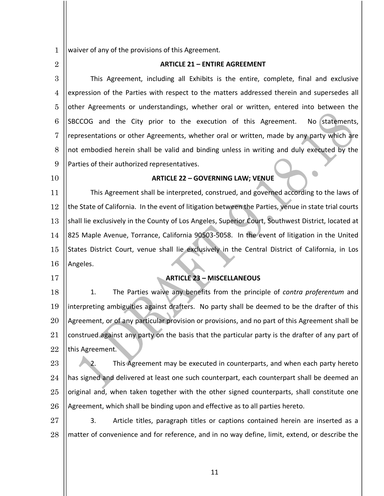1 waiver of any of the provisions of this Agreement.

| <b>I</b>       | valver of any or the provisions or this agreement.                                                   |  |  |  |
|----------------|------------------------------------------------------------------------------------------------------|--|--|--|
| $\overline{2}$ | <b>ARTICLE 21 - ENTIRE AGREEMENT</b>                                                                 |  |  |  |
| 3              | This Agreement, including all Exhibits is the entire, complete, final and exclusive                  |  |  |  |
| $\overline{4}$ | expression of the Parties with respect to the matters addressed therein and supersedes all           |  |  |  |
| 5              | other Agreements or understandings, whether oral or written, entered into between the                |  |  |  |
| 6              | SBCCOG and the City prior to the execution of this Agreement.<br>No statements,                      |  |  |  |
| 7              | representations or other Agreements, whether oral or written, made by any party which are            |  |  |  |
| 8              | not embodied herein shall be valid and binding unless in writing and duly executed by the            |  |  |  |
| 9              | Parties of their authorized representatives.                                                         |  |  |  |
| 10             | <b>ARTICLE 22 - GOVERNING LAW; VENUE</b>                                                             |  |  |  |
| 11             | This Agreement shall be interpreted, construed, and governed according to the laws of                |  |  |  |
| 12             | the State of California. In the event of litigation between the Parties, venue in state trial courts |  |  |  |
| 13             | shall lie exclusively in the County of Los Angeles, Superior Court, Southwest District, located at   |  |  |  |
| 14             | 825 Maple Avenue, Torrance, California 90503-5058. In the event of litigation in the United          |  |  |  |
| 15             | States District Court, venue shall lie exclusively in the Central District of California, in Los     |  |  |  |
| 16             | Angeles.                                                                                             |  |  |  |
| 17             | <b>ARTICLE 23 - MISCELLANEOUS</b>                                                                    |  |  |  |
| 18             | The Parties waive any benefits from the principle of contra proferentum and<br>1.                    |  |  |  |
| 19             | interpreting ambiguities against drafters. No party shall be deemed to be the drafter of this        |  |  |  |
| 20             | Agreement, or of any particular provision or provisions, and no part of this Agreement shall be      |  |  |  |
| 21             | construed against any party on the basis that the particular party is the drafter of any part of     |  |  |  |
| 22             | this Agreement.                                                                                      |  |  |  |
| 23             | This Agreement may be executed in counterparts, and when each party hereto<br>2.                     |  |  |  |
| 24             | has signed and delivered at least one such counterpart, each counterpart shall be deemed an          |  |  |  |
| 25             | original and, when taken together with the other signed counterparts, shall constitute one           |  |  |  |
| 26             | Agreement, which shall be binding upon and effective as to all parties hereto.                       |  |  |  |
| 27             | 3.<br>Article titles, paragraph titles or captions contained herein are inserted as a                |  |  |  |
| 28             | matter of convenience and for reference, and in no way define, limit, extend, or describe the        |  |  |  |